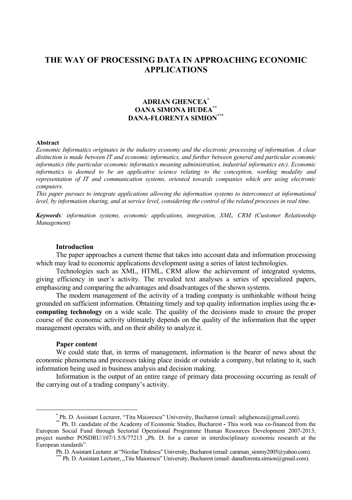# **THE WAY OF PROCESSING DATA IN APPROACHING ECONOMIC APPLICATIONS**

## **ADRIAN GHENCEA\* OANA SIMONA HUDEA\*\* DANA-FLORENTA SIMION\*\*\***

#### **Abstract**

*Economic Informatics originates in the industry economy and the electronic processing of information. A clear distinction is made between IT and economic informatics, and further between general and particular economic informatics (the particular economic informatics meaning administration, industrial informatics etc). Economic informatics is deemed to be an applicative science relating to the conception, working modality and representation of IT and communication systems, oriented towards companies which are using electronic computers.* 

*This paper pursues to integrate applications allowing the information systems to interconnect at informational level, by information sharing, and at service level, considering the control of the related processes in real time.* 

*Keywords: information systems, economic applications, integration, XML, CRM (Customer Relationship Management)* 

## **Introduction**

The paper approaches a current theme that takes into account data and information processing which may lead to economic applications development using a series of latest technologies.

Technologies such as XML, HTML, CRM allow the achievement of integrated systems, giving efficiency in user's activity. The revealed text analyses a series of specialized papers, emphasizing and comparing the advantages and disadvantages of the shown systems.

The modern management of the activity of a trading company is unthinkable without being grounded on sufficient information. Obtaining timely and top quality information implies using the **ecomputing technology** on a wide scale. The quality of the decisions made to ensure the proper course of the economic activity ultimately depends on the quality of the information that the upper management operates with, and on their ability to analyze it.

#### **Paper content**

We could state that, in terms of management, information is the bearer of news about the economic phenomena and processes taking place inside or outside a company, but relating to it, such information being used in business analysis and decision making.

Information is the output of an entire range of primary data processing occurring as result of the carrying out of a trading company's activity.

 <sup>\*</sup>

Ph. D. Assistant Lecturer, "Titu Maiorescu" University, Bucharest (email: adighencea@gmail.com). \*\* Ph. D. candidate of the Academy of Economic Studies, Bucharest **-** This work was co-financed from the European Social Fund through Sectorial Operational Programme Human Resources Development 2007-2013; project number POSDRU/107/1.5/S/77213 "Ph. D. for a career in interdisciplinary economic research at the European standards".<br>Ph. D. Assistant Lecturer. at "Nicolae Titulescu" University, Bucharest (email: caraman simmy2005@yahoo.com).

Ph. D. Assistant Lecturer. "Titu Maiorescu" University, Bucharest (email: danaflorenta.simion@gmail.com).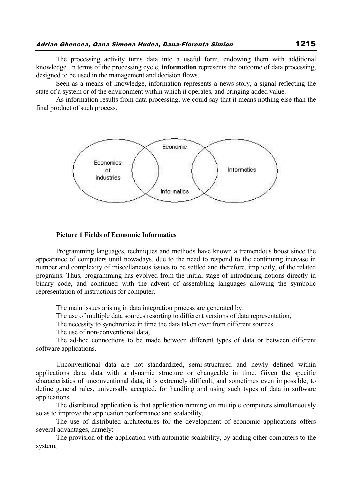The processing activity turns data into a useful form, endowing them with additional knowledge. In terms of the processing cycle, **information** represents the outcome of data processing, designed to be used in the management and decision flows.

Seen as a means of knowledge, information represents a news-story, a signal reflecting the state of a system or of the environment within which it operates, and bringing added value.

As information results from data processing, we could say that it means nothing else than the final product of such process.



#### **Picture 1 Fields of Economic Informatics**

Programming languages, techniques and methods have known a tremendous boost since the appearance of computers until nowadays, due to the need to respond to the continuing increase in number and complexity of miscellaneous issues to be settled and therefore, implicitly, of the related programs. Thus, programming has evolved from the initial stage of introducing notions directly in binary code, and continued with the advent of assembling languages allowing the symbolic representation of instructions for computer.

The main issues arising in data integration process are generated by:

The use of multiple data sources resorting to different versions of data representation,

The necessity to synchronize in time the data taken over from different sources

The use of non-conventional data,

The ad-hoc connections to be made between different types of data or between different software applications.

Unconventional data are not standardized, semi-structured and newly defined within applications data, data with a dynamic structure or changeable in time. Given the specific characteristics of unconventional data, it is extremely difficult, and sometimes even impossible, to define general rules, universally accepted, for handling and using such types of data in software applications.

The distributed application is that application running on multiple computers simultaneously so as to improve the application performance and scalability.

The use of distributed architectures for the development of economic applications offers several advantages, namely:

The provision of the application with automatic scalability, by adding other computers to the system,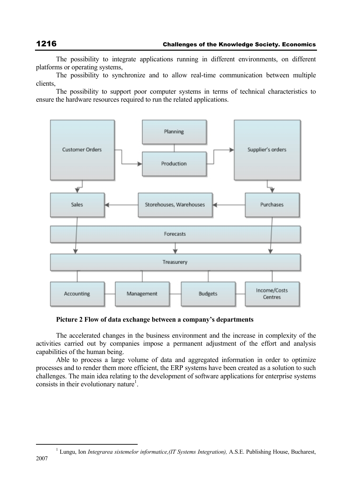The possibility to integrate applications running in different environments, on different platforms or operating systems,

The possibility to synchronize and to allow real-time communication between multiple clients,

The possibility to support poor computer systems in terms of technical characteristics to ensure the hardware resources required to run the related applications.



**Picture 2 Flow of data exchange between a company's departments** 

The accelerated changes in the business environment and the increase in complexity of the activities carried out by companies impose a permanent adjustment of the effort and analysis capabilities of the human being.

Able to process a large volume of data and aggregated information in order to optimize processes and to render them more efficient, the ERP systems have been created as a solution to such challenges. The main idea relating to the development of software applications for enterprise systems consists in their evolutionary nature<sup>1</sup>.

 $\frac{1}{1}$ <sup>1</sup> Lungu, Ion *Integrarea sistemelor informatice,(IT Systems Integration),* A.S.E. Publishing House, Bucharest,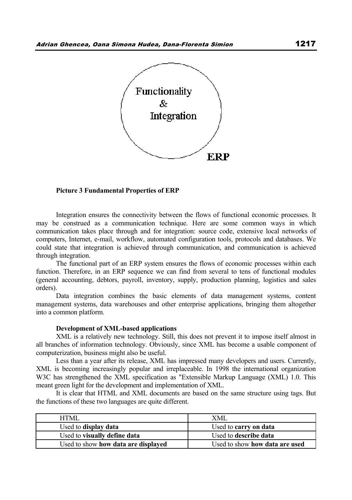

#### **Picture 3 Fundamental Properties of ERP**

Integration ensures the connectivity between the flows of functional economic processes. It may be construed as a communication technique. Here are some common ways in which communication takes place through and for integration: source code, extensive local networks of computers, Internet, e-mail, workflow, automated configuration tools, protocols and databases. We could state that integration is achieved through communication, and communication is achieved through integration.

The functional part of an ERP system ensures the flows of economic processes within each function. Therefore, in an ERP sequence we can find from several to tens of functional modules (general accounting, debtors, payroll, inventory, supply, production planning, logistics and sales orders).

Data integration combines the basic elements of data management systems, content management systems, data warehouses and other enterprise applications, bringing them altogether into a common platform.

#### **Development of XML-based applications**

XML is a relatively new technology. Still, this does not prevent it to impose itself almost in all branches of information technology. Obviously, since XML has become a usable component of computerization, business might also be useful.

Less than a year after its release, XML has impressed many developers and users. Currently, XML is becoming increasingly popular and irreplaceable. In 1998 the international organization W3C has strengthened the XML specification as "Extensible Markup Language (XML) 1.0. This meant green light for the development and implementation of XML.

It is clear that HTML and XML documents are based on the same structure using tags. But the functions of these two languages are quite different.

| HTMI.                               | XMI                            |
|-------------------------------------|--------------------------------|
| Used to <b>display data</b>         | Used to carry on data          |
| Used to visually define data        | Used to describe data          |
| Used to show how data are displayed | Used to show how data are used |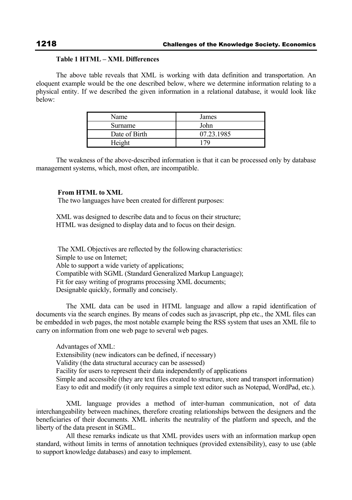## **Table 1 HTML – XML Differences**

The above table reveals that XML is working with data definition and transportation. An eloquent example would be the one described below, where we determine information relating to a physical entity. If we described the given information in a relational database, it would look like below:

| Name          | James      |
|---------------|------------|
| Surname       | John       |
| Date of Birth | 07.23.1985 |
| Height        | 79         |

The weakness of the above-described information is that it can be processed only by database management systems, which, most often, are incompatible.

## **From HTML to XML**

The two languages have been created for different purposes:

XML was designed to describe data and to focus on their structure; HTML was designed to display data and to focus on their design.

 The XML Objectives are reflected by the following characteristics: Simple to use on Internet; Able to support a wide variety of applications; Compatible with SGML (Standard Generalized Markup Language); Fit for easy writing of programs processing XML documents; Designable quickly, formally and concisely.

 The XML data can be used in HTML language and allow a rapid identification of documents via the search engines. By means of codes such as javascript, php etc., the XML files can be embedded in web pages, the most notable example being the RSS system that uses an XML file to carry on information from one web page to several web pages.

Advantages of XML: Extensibility (new indicators can be defined, if necessary) Validity (the data structural accuracy can be assessed) Facility for users to represent their data independently of applications Simple and accessible (they are text files created to structure, store and transport information) Easy to edit and modify (it only requires a simple text editor such as Notepad, WordPad, etc.).

 XML language provides a method of inter-human communication, not of data interchangeability between machines, therefore creating relationships between the designers and the beneficiaries of their documents. XML inherits the neutrality of the platform and speech, and the liberty of the data present in SGML.

 All these remarks indicate us that XML provides users with an information markup open standard, without limits in terms of annotation techniques (provided extensibility), easy to use (able to support knowledge databases) and easy to implement.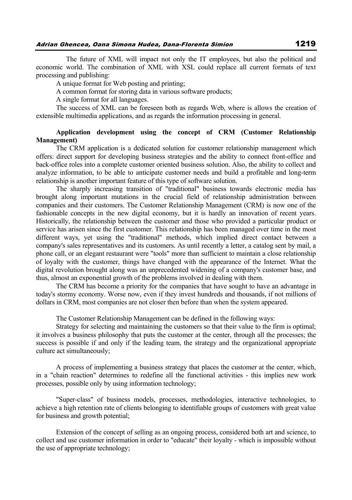The future of XML will impact not only the IT employees, but also the political and economic world. The combination of XML with XSL could replace all current formats of text processing and publishing:

A unique format for Web posting and printing;

A common format for storing data in various software products;

A single format for all languages.

The success of XML can be foreseen both as regards Web, where is allows the creation of extensible multimedia applications, and as regards the information processing in general.

## **Application development using the concept of CRM (Customer Relationship Management)**

The CRM application is a dedicated solution for customer relationship management which offers: direct support for developing business strategies and the ability to connect front-office and back-office roles into a complete customer oriented business solution. Also, the ability to collect and analyze information, to be able to anticipate customer needs and build a profitable and long-term relationship is another important feature of this type of software solution.

The sharply increasing transition of "traditional" business towards electronic media has brought along important mutations in the crucial field of relationship administration between companies and their customers. The Customer Relationship Management (CRM) is now one of the fashionable concepts in the new digital economy, but it is hardly an innovation of recent years. Historically, the relationship between the customer and those who provided a particular product or service has arisen since the first customer. This relationship has been managed over time in the most different ways, yet using the "traditional" methods, which implied direct contact between a company's sales representatives and its customers. As until recently a letter, a catalog sent by mail, a phone call, or an elegant restaurant were "tools" more than sufficient to maintain a close relationship of loyalty with the customer, things have changed with the appearance of the Internet. What the digital revolution brought along was an unprecedented widening of a company's customer base, and thus, almost an exponential growth of the problems involved in dealing with them.

The CRM has become a priority for the companies that have sought to have an advantage in today's stormy economy. Worse now, even if they invest hundreds and thousands, if not millions of dollars in CRM, most companies are not closer then before than when the system appeared.

The Customer Relationship Management can be defined in the following ways:

Strategy for selecting and maintaining the customers so that their value to the firm is optimal; it involves a business philosophy that puts the customer at the center, through all the processes; the success is possible if and only if the leading team, the strategy and the organizational appropriate culture act simultaneously;

A process of implementing a business strategy that places the customer at the center, which, in a "chain reaction" determines to redefine all the functional activities - this implies new work processes, possible only by using information technology;

"Super-class" of business models, processes, methodologies, interactive technologies, to achieve a high retention rate of clients belonging to identifiable groups of customers with great value for business and growth potential;

Extension of the concept of selling as an ongoing process, considered both art and science, to collect and use customer information in order to "educate" their loyalty - which is impossible without the use of appropriate technology;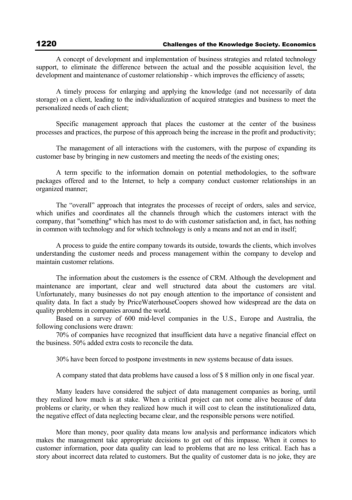A concept of development and implementation of business strategies and related technology support, to eliminate the difference between the actual and the possible acquisition level, the development and maintenance of customer relationship - which improves the efficiency of assets;

A timely process for enlarging and applying the knowledge (and not necessarily of data storage) on a client, leading to the individualization of acquired strategies and business to meet the personalized needs of each client;

Specific management approach that places the customer at the center of the business processes and practices, the purpose of this approach being the increase in the profit and productivity;

The management of all interactions with the customers, with the purpose of expanding its customer base by bringing in new customers and meeting the needs of the existing ones;

A term specific to the information domain on potential methodologies, to the software packages offered and to the Internet, to help a company conduct customer relationships in an organized manner;

The "overall" approach that integrates the processes of receipt of orders, sales and service, which unifies and coordinates all the channels through which the customers interact with the company, that "something" which has most to do with customer satisfaction and, in fact, has nothing in common with technology and for which technology is only a means and not an end in itself;

A process to guide the entire company towards its outside, towards the clients, which involves understanding the customer needs and process management within the company to develop and maintain customer relations.

The information about the customers is the essence of CRM. Although the development and maintenance are important, clear and well structured data about the customers are vital. Unfortunately, many businesses do not pay enough attention to the importance of consistent and quality data. In fact a study by PriceWaterhouseCoopers showed how widespread are the data on quality problems in companies around the world.

Based on a survey of 600 mid-level companies in the U.S., Europe and Australia, the following conclusions were drawn:

70% of companies have recognized that insufficient data have a negative financial effect on the business. 50% added extra costs to reconcile the data.

30% have been forced to postpone investments in new systems because of data issues.

A company stated that data problems have caused a loss of \$ 8 million only in one fiscal year.

Many leaders have considered the subject of data management companies as boring, until they realized how much is at stake. When a critical project can not come alive because of data problems or clarity, or when they realized how much it will cost to clean the institutionalized data, the negative effect of data neglecting became clear, and the responsible persons were notified.

More than money, poor quality data means low analysis and performance indicators which makes the management take appropriate decisions to get out of this impasse. When it comes to customer information, poor data quality can lead to problems that are no less critical. Each has a story about incorrect data related to customers. But the quality of customer data is no joke, they are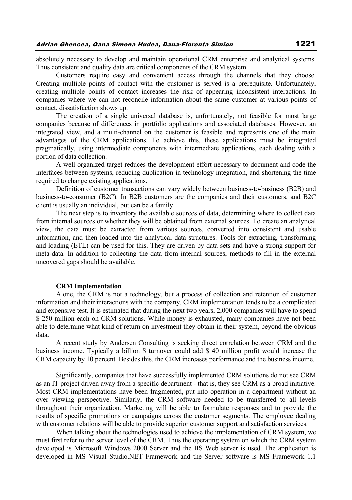absolutely necessary to develop and maintain operational CRM enterprise and analytical systems. Thus consistent and quality data are critical components of the CRM system.

Customers require easy and convenient access through the channels that they choose. Creating multiple points of contact with the customer is served is a prerequisite. Unfortunately, creating multiple points of contact increases the risk of appearing inconsistent interactions. In companies where we can not reconcile information about the same customer at various points of contact, dissatisfaction shows up.

The creation of a single universal database is, unfortunately, not feasible for most large companies because of differences in portfolio applications and associated databases. However, an integrated view, and a multi-channel on the customer is feasible and represents one of the main advantages of the CRM applications. To achieve this, these applications must be integrated pragmatically, using intermediate components with intermediate applications, each dealing with a portion of data collection.

A well organized target reduces the development effort necessary to document and code the interfaces between systems, reducing duplication in technology integration, and shortening the time required to change existing applications.

Definition of customer transactions can vary widely between business-to-business (B2B) and business-to-consumer (B2C). In B2B customers are the companies and their customers, and B2C client is usually an individual, but can be a family.

The next step is to inventory the available sources of data, determining where to collect data from internal sources or whether they will be obtained from external sources. To create an analytical view, the data must be extracted from various sources, converted into consistent and usable information, and then loaded into the analytical data structures. Tools for extracting, transforming and loading (ETL) can be used for this. They are driven by data sets and have a strong support for meta-data. In addition to collecting the data from internal sources, methods to fill in the external uncovered gaps should be available.

#### **CRM Implementation**

Alone, the CRM is not a technology, but a process of collection and retention of customer information and their interactions with the company. CRM implementation tends to be a complicated and expensive test. It is estimated that during the next two years, 2,000 companies will have to spend \$ 250 million each on CRM solutions. While money is exhausted, many companies have not been able to determine what kind of return on investment they obtain in their system, beyond the obvious data.

A recent study by Andersen Consulting is seeking direct correlation between CRM and the business income. Typically a billion \$ turnover could add \$ 40 million profit would increase the CRM capacity by 10 percent. Besides this, the CRM increases performance and the business income.

Significantly, companies that have successfully implemented CRM solutions do not see CRM as an IT project driven away from a specific department - that is, they see CRM as a broad initiative. Most CRM implementations have been fragmented, put into operation in a department without an over viewing perspective. Similarly, the CRM software needed to be transferred to all levels throughout their organization. Marketing will be able to formulate responses and to provide the results of specific promotions or campaigns across the customer segments. The employee dealing with customer relations will be able to provide superior customer support and satisfaction services.

When talking about the technologies used to achieve the implementation of CRM system, we must first refer to the server level of the CRM. Thus the operating system on which the CRM system developed is Microsoft Windows 2000 Server and the IIS Web server is used. The application is developed in MS Visual Studio.NET Framework and the Server software is MS Framework 1.1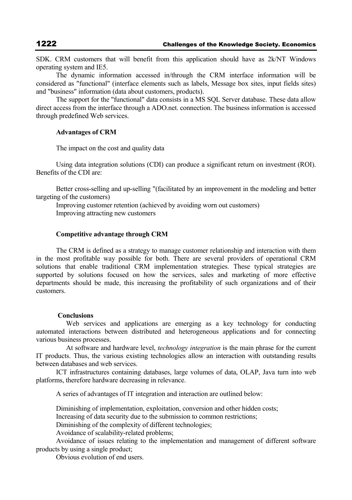SDK. CRM customers that will benefit from this application should have as 2k/NT Windows operating system and IE5.

The dynamic information accessed in/through the CRM interface information will be considered as "functional" (interface elements such as labels, Message box sites, input fields sites) and "business" information (data about customers, products).

The support for the "functional" data consists in a MS SQL Server database. These data allow direct access from the interface through a ADO.net. connection. The business information is accessed through predefined Web services.

## **Advantages of CRM**

The impact on the cost and quality data

Using data integration solutions (CDI) can produce a significant return on investment (ROI). Benefits of the CDI are:

Better cross-selling and up-selling "(facilitated by an improvement in the modeling and better targeting of the customers)

Improving customer retention (achieved by avoiding worn out customers) Improving attracting new customers

## **Competitive advantage through CRM**

The CRM is defined as a strategy to manage customer relationship and interaction with them in the most profitable way possible for both. There are several providers of operational CRM solutions that enable traditional CRM implementation strategies. These typical strategies are supported by solutions focused on how the services, sales and marketing of more effective departments should be made, this increasing the profitability of such organizations and of their customers.

#### **Conclusions**

Web services and applications are emerging as a key technology for conducting automated interactions between distributed and heterogeneous applications and for connecting various business processes.

 At software and hardware level, *technology integration* is the main phrase for the current IT products. Thus, the various existing technologies allow an interaction with outstanding results between databases and web services.

ICT infrastructures containing databases, large volumes of data, OLAP, Java turn into web platforms, therefore hardware decreasing in relevance.

A series of advantages of IT integration and interaction are outlined below:

Diminishing of implementation, exploitation, conversion and other hidden costs;

Increasing of data security due to the submission to common restrictions;

Diminishing of the complexity of different technologies;

Avoidance of scalability-related problems;

Avoidance of issues relating to the implementation and management of different software products by using a single product;

Obvious evolution of end users.